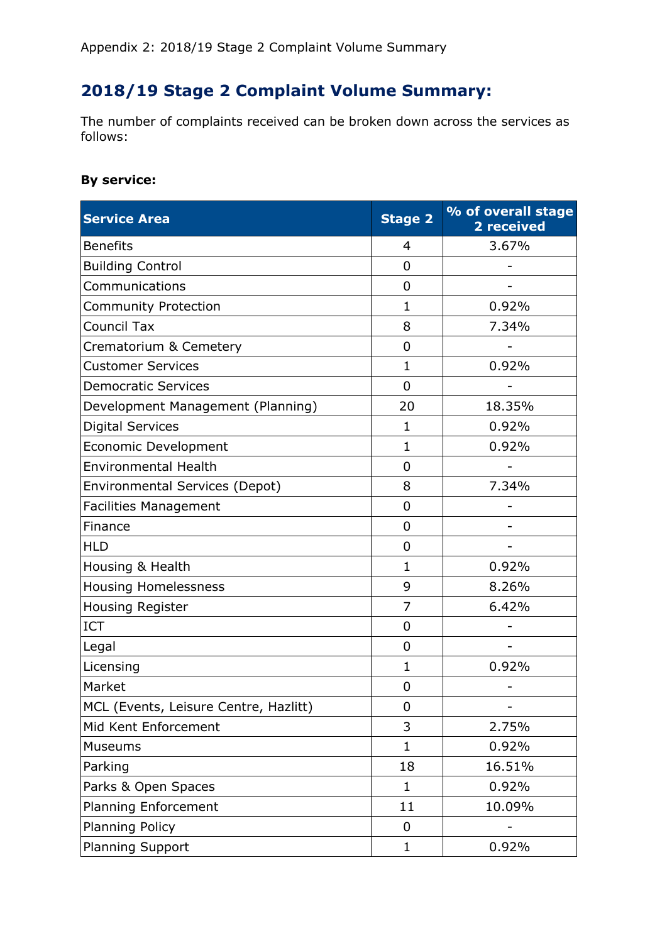## **2018/19 Stage 2 Complaint Volume Summary:**

The number of complaints received can be broken down across the services as follows:

## **By service:**

| <b>Service Area</b>                   | <b>Stage 2</b> | % of overall stage<br>2 received |
|---------------------------------------|----------------|----------------------------------|
| <b>Benefits</b>                       | 4              | 3.67%                            |
| <b>Building Control</b>               | 0              |                                  |
| Communications                        | 0              |                                  |
| <b>Community Protection</b>           | $\mathbf{1}$   | 0.92%                            |
| <b>Council Tax</b>                    | 8              | 7.34%                            |
| Crematorium & Cemetery                | 0              |                                  |
| <b>Customer Services</b>              | $\mathbf{1}$   | 0.92%                            |
| <b>Democratic Services</b>            | $\overline{0}$ |                                  |
| Development Management (Planning)     | 20             | 18.35%                           |
| <b>Digital Services</b>               | $\mathbf{1}$   | 0.92%                            |
| Economic Development                  | $\mathbf{1}$   | 0.92%                            |
| <b>Environmental Health</b>           | $\overline{0}$ |                                  |
| Environmental Services (Depot)        | 8              | 7.34%                            |
| <b>Facilities Management</b>          | 0              |                                  |
| Finance                               | $\overline{0}$ |                                  |
| <b>HLD</b>                            | $\Omega$       |                                  |
| Housing & Health                      | $\mathbf{1}$   | 0.92%                            |
| <b>Housing Homelessness</b>           | 9              | 8.26%                            |
| Housing Register                      | $\overline{7}$ | 6.42%                            |
| <b>ICT</b>                            | $\overline{0}$ |                                  |
| Legal                                 | 0              |                                  |
| Licensing                             | $\mathbf{1}$   | 0.92%                            |
| Market                                | 0              |                                  |
| MCL (Events, Leisure Centre, Hazlitt) | 0              |                                  |
| Mid Kent Enforcement                  | 3              | 2.75%                            |
| Museums                               | $\mathbf{1}$   | 0.92%                            |
| Parking                               | 18             | 16.51%                           |
| Parks & Open Spaces                   | $\mathbf 1$    | 0.92%                            |
| Planning Enforcement                  | 11             | 10.09%                           |
| Planning Policy                       | 0              |                                  |
| <b>Planning Support</b>               | $\mathbf 1$    | 0.92%                            |